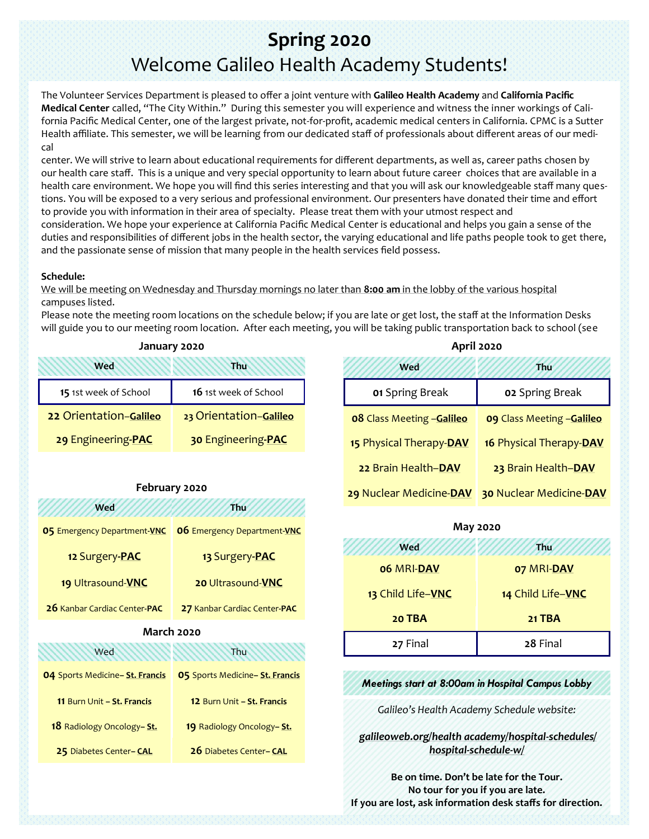# **Spring 2020** Welcome Galileo Health Academy Students!

The Volunteer Services Department is pleased to offer a joint venture with **Galileo Health Academy** and **California Pacific Medical Center** called, "The City Within." During this semester you will experience and witness the inner workings of California Pacific Medical Center, one of the largest private, not-for-profit, academic medical centers in California. CPMC is a Sutter Health affiliate. This semester, we will be learning from our dedicated staff of professionals about different areas of our medical

center. We will strive to learn about educational requirements for different departments, as well as, career paths chosen by our health care staff. This is a unique and very special opportunity to learn about future career choices that are available in a health care environment. We hope you will find this series interesting and that you will ask our knowledgeable staff many questions. You will be exposed to a very serious and professional environment. Our presenters have donated their time and effort to provide you with information in their area of specialty. Please treat them with your utmost respect and consideration. We hope your experience at California Pacific Medical Center is educational and helps you gain a sense of the duties and responsibilities of different jobs in the health sector, the varying educational and life paths people took to get there, and the passionate sense of mission that many people in the health services field possess.

### **Schedule:**

We will be meeting on Wednesday and Thursday mornings no later than **8:00 am** in the lobby of the various hospital campuses listed.

Please note the meeting room locations on the schedule below; if you are late or get lost, the staff at the Information Desks will guide you to our meeting room location. After each meeting, you will be taking public transportation back to school (see

| January 2020           |                        |  |
|------------------------|------------------------|--|
| <b>Wed</b><br>Thu      |                        |  |
| 15 1st week of School  | 16 1st week of School  |  |
| 22 Orientation-Galileo | 23 Orientation-Galileo |  |
| 29 Engineering-PAC     | 30 Engineering-PAC     |  |

### **February 2020 Wed Thu**

| <b>05 Emergency Department-VNC</b> | 06 Emergency Department-VNC  |  |
|------------------------------------|------------------------------|--|
| 12 Surgery-PAC                     | 13 Surgery-PAC               |  |
| 19 Ultrasound-VNC                  | 20 Ultrasound-VNC            |  |
| 26 Kanbar Cardiac Center-PAC       | 27 Kanbar Cardiac Center-PAC |  |
| <b>March 2020</b>                  |                              |  |

| <b>04 Sports Medicine-St. Francis</b> | 05 Sports Medicine- St. Francis |
|---------------------------------------|---------------------------------|
| 11 Burn Unit - St. Francis            | 12 Burn Unit - St. Francis      |
| 18 Radiology Oncology- St.            | 19 Radiology Oncology-St.       |
| 25 Diabetes Center-CAL                | 26 Diabetes Center-CAL          |

Wed **William William** Thu

| ADI II 2020                       |                           |
|-----------------------------------|---------------------------|
| Wed                               | Thu                       |
| 01 Spring Break                   | <b>02 Spring Break</b>    |
| <b>08 Class Meeting - Galileo</b> | 09 Class Meeting -Galileo |
| 15 Physical Therapy-DAV           | 16 Physical Therapy-DAV   |
| 22 Brain Health-DAV               | 23 Brain Health-DAV       |
| 29 Nuclear Medicine-DAV           | 30 Nuclear Medicine-DAV   |



| <b>06 MRI-DAV</b> | 07 MRI-DAV        |
|-------------------|-------------------|
| 13 Child Life-VNC | 14 Child Life-VNC |
| 20 TBA            | <b>21 TBA</b>     |
| 27 Final          | 28 Final          |

*Meetings start at 8:00am in Hospital Campus Lobby*

*Galileo's Health Academy Schedule website:*

*[galileoweb.org/health academy/hospital](http://galileoweb.org/healthacademy/hospital-schedules/hospital-schedule-w/)-schedules/ hospital-[schedule](http://galileoweb.org/healthacademy/hospital-schedules/hospital-schedule-w/)-w/*

**Be on time. Don't be late for the Tour. No tour for you if you are late. If you are lost, ask information desk staffs for direction.**

**April 2020**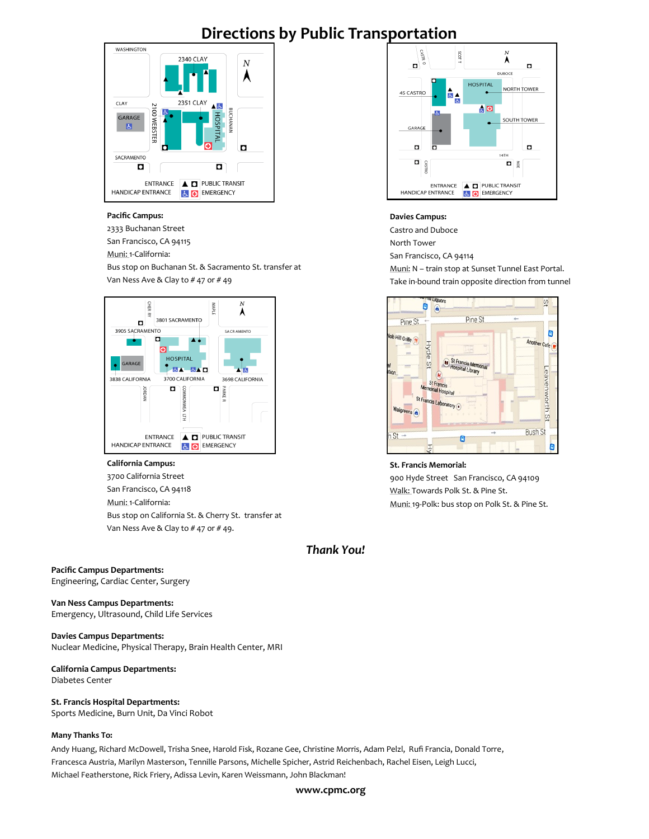# **Directions by Public Transportation**



#### **Pacific Campus:**

2333 Buchanan Street San Francisco, CA 94115

Muni: 1-California:

Bus stop on Buchanan St. & Sacramento St. transfer at Van Ness Ave & Clay to # 47 or # 49



#### **California Campus:**

3700 California Street San Francisco, CA 94118 Muni: 1-California: Bus stop on California St. & Cherry St. transfer at Van Ness Ave & Clay to # 47 or # 49.

## *Thank You!*

#### **Pacific Campus Departments:**

Engineering, Cardiac Center, Surgery

#### **Van Ness Campus Departments:**

Emergency, Ultrasound, Child Life Services

#### **Davies Campus Departments:**

Nuclear Medicine, Physical Therapy, Brain Health Center, MRI

#### **California Campus Departments:**

Diabetes Center

# **St. Francis Hospital Departments:**

Sports Medicine, Burn Unit, Da Vinci Robot

#### **Many Thanks To:**

Andy Huang, Richard McDowell, Trisha Snee, Harold Fisk, Rozane Gee, Christine Morris, Adam Pelzl, Rufi Francia, Donald Torre, Francesca Austria, Marilyn Masterson, Tennille Parsons, Michelle Spicher, Astrid Reichenbach, Rachel Eisen, Leigh Lucci, Michael Featherstone, Rick Friery, Adissa Levin, Karen Weissmann, John Blackman!



#### **Davies Campus:**

Castro and Duboce North Tower San Francisco, CA 94114 Muni: N – train stop at Sunset Tunnel East Portal. Take in-bound train opposite direction from tunnel



#### **St. Francis Memorial:**

900 Hyde Street San Francisco, CA 94109 Walk: Towards Polk St. & Pine St. Muni: 19-Polk: bus stop on Polk St. & Pine St.